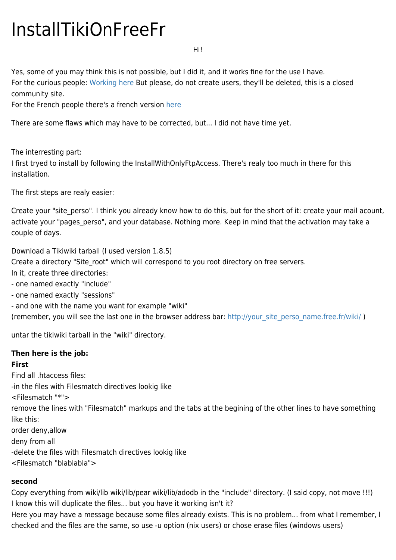# InstallTikiOnFreeFr

Hi!

Yes, some of you may think this is not possible, but I did it, and it works fine for the use I have. For the curious people: [Working here](http://niapajani.free.fr/wiki) But please, do not create users, they'll be deleted, this is a closed community site.

For the French people there's a french version [here](http://niapajani.free.fr)

There are some flaws which may have to be corrected, but... I did not have time yet.

The interresting part:

I first tryed to install by following the InstallWithOnlyFtpAccess. There's realy too much in there for this installation.

The first steps are realy easier:

Create your "site perso". I think you already know how to do this, but for the short of it: create your mail acount, activate your "pages perso", and your database. Nothing more. Keep in mind that the activation may take a couple of days.

Download a Tikiwiki tarball (I used version 1.8.5)

Create a directory "Site root" which will correspond to you root directory on free servers.

In it, create three directories:

- one named exactly "include"

- one named exactly "sessions"

- and one with the name you want for example "wiki"

(remember, you will see the last one in the browser address bar: [http://your\\_site\\_perso\\_name.free.fr/wiki/](http://your_site_perso_name.free.fr/wiki/) )

untar the tikiwiki tarball in the "wiki" directory.

### **Then here is the job:**

## **First**

Find all .htaccess files: -in the files with Filesmatch directives lookig like <Filesmatch "\*"> remove the lines with "Filesmatch" markups and the tabs at the begining of the other lines to have something like this: order deny,allow deny from all -delete the files with Filesmatch directives lookig like <Filesmatch "blablabla">

### **second**

Copy everything from wiki/lib wiki/lib/pear wiki/lib/adodb in the "include" directory. (I said copy, not move !!!) I know this will duplicate the files... but you have it working isn't it?

Here you may have a message because some files already exists. This is no problem... from what I remember, I checked and the files are the same, so use -u option (nix users) or chose erase files (windows users)